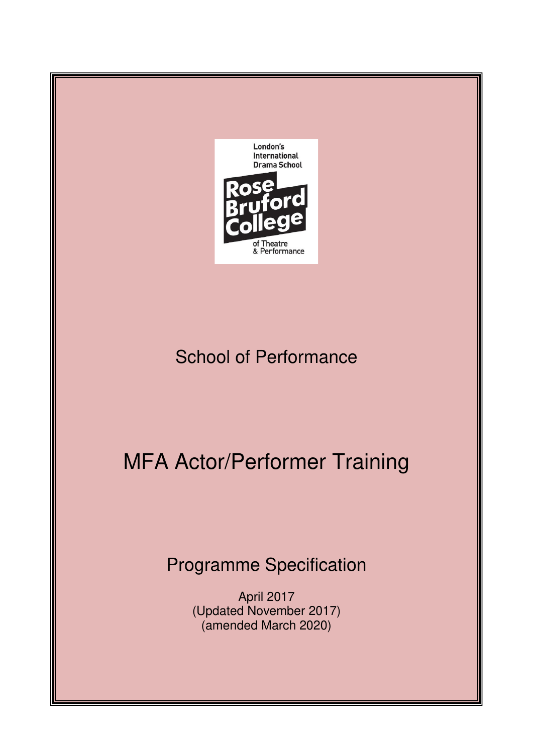

# School of Performance

# MFA Actor/Performer Training

# Programme Specification

April 2017 (Updated November 2017) (amended March 2020)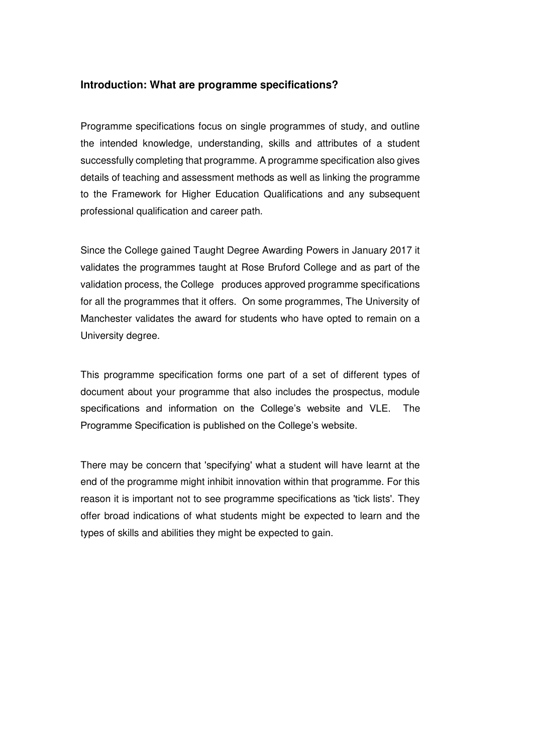#### **Introduction: What are programme specifications?**

Programme specifications focus on single programmes of study, and outline the intended knowledge, understanding, skills and attributes of a student successfully completing that programme. A programme specification also gives details of teaching and assessment methods as well as linking the programme to the Framework for Higher Education Qualifications and any subsequent professional qualification and career path.

Since the College gained Taught Degree Awarding Powers in January 2017 it validates the programmes taught at Rose Bruford College and as part of the validation process, the College produces approved programme specifications for all the programmes that it offers. On some programmes, The University of Manchester validates the award for students who have opted to remain on a University degree.

This programme specification forms one part of a set of different types of document about your programme that also includes the prospectus, module specifications and information on the College's website and VLE. The Programme Specification is published on the College's website.

There may be concern that 'specifying' what a student will have learnt at the end of the programme might inhibit innovation within that programme. For this reason it is important not to see programme specifications as 'tick lists'. They offer broad indications of what students might be expected to learn and the types of skills and abilities they might be expected to gain.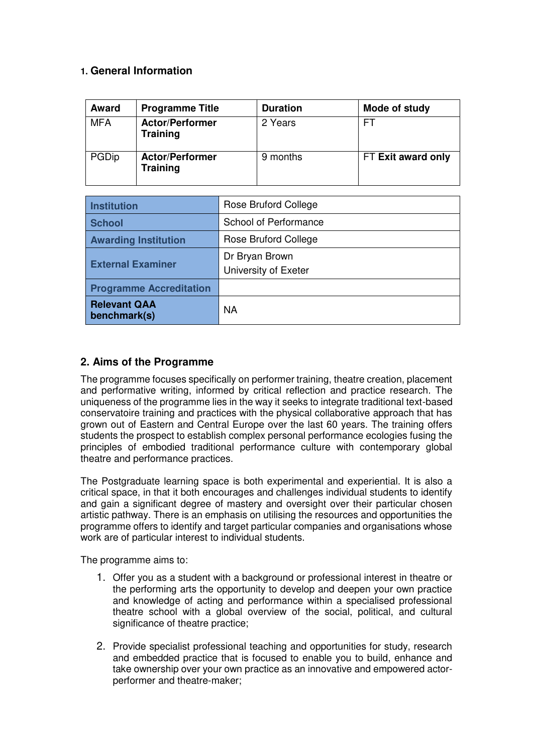# **1. General Information**

| <b>Award</b> | <b>Programme Title</b>                    | <b>Duration</b> | Mode of study      |
|--------------|-------------------------------------------|-----------------|--------------------|
| <b>MFA</b>   | <b>Actor/Performer</b><br><b>Training</b> | 2 Years         | FΤ                 |
| PGDip        | <b>Actor/Performer</b><br><b>Training</b> | 9 months        | FT Exit award only |

| <b>Institution</b>                  | Rose Bruford College                   |  |  |  |
|-------------------------------------|----------------------------------------|--|--|--|
| <b>School</b>                       | School of Performance                  |  |  |  |
| <b>Awarding Institution</b>         | Rose Bruford College                   |  |  |  |
| <b>External Examiner</b>            | Dr Bryan Brown<br>University of Exeter |  |  |  |
| <b>Programme Accreditation</b>      |                                        |  |  |  |
| <b>Relevant QAA</b><br>benchmark(s) | <b>NA</b>                              |  |  |  |

# **2. Aims of the Programme**

The programme focuses specifically on performer training, theatre creation, placement and performative writing, informed by critical reflection and practice research. The uniqueness of the programme lies in the way it seeks to integrate traditional text-based conservatoire training and practices with the physical collaborative approach that has grown out of Eastern and Central Europe over the last 60 years. The training offers students the prospect to establish complex personal performance ecologies fusing the principles of embodied traditional performance culture with contemporary global theatre and performance practices.

The Postgraduate learning space is both experimental and experiential. It is also a critical space, in that it both encourages and challenges individual students to identify and gain a significant degree of mastery and oversight over their particular chosen artistic pathway. There is an emphasis on utilising the resources and opportunities the programme offers to identify and target particular companies and organisations whose work are of particular interest to individual students.

The programme aims to:

- 1. Offer you as a student with a background or professional interest in theatre or the performing arts the opportunity to develop and deepen your own practice and knowledge of acting and performance within a specialised professional theatre school with a global overview of the social, political, and cultural significance of theatre practice:
- 2. Provide specialist professional teaching and opportunities for study, research and embedded practice that is focused to enable you to build, enhance and take ownership over your own practice as an innovative and empowered actorperformer and theatre-maker;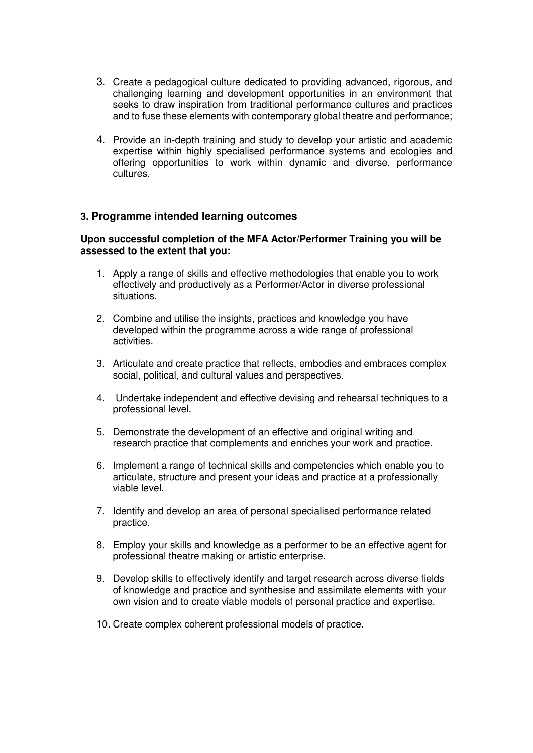- 3. Create a pedagogical culture dedicated to providing advanced, rigorous, and challenging learning and development opportunities in an environment that seeks to draw inspiration from traditional performance cultures and practices and to fuse these elements with contemporary global theatre and performance;
- 4. Provide an in-depth training and study to develop your artistic and academic expertise within highly specialised performance systems and ecologies and offering opportunities to work within dynamic and diverse, performance cultures.

# **3. Programme intended learning outcomes**

#### **Upon successful completion of the MFA Actor/Performer Training you will be assessed to the extent that you:**

- 1. Apply a range of skills and effective methodologies that enable you to work effectively and productively as a Performer/Actor in diverse professional situations.
- 2. Combine and utilise the insights, practices and knowledge you have developed within the programme across a wide range of professional activities.
- 3. Articulate and create practice that reflects, embodies and embraces complex social, political, and cultural values and perspectives.
- 4. Undertake independent and effective devising and rehearsal techniques to a professional level.
- 5. Demonstrate the development of an effective and original writing and research practice that complements and enriches your work and practice.
- 6. Implement a range of technical skills and competencies which enable you to articulate, structure and present your ideas and practice at a professionally viable level.
- 7. Identify and develop an area of personal specialised performance related practice.
- 8. Employ your skills and knowledge as a performer to be an effective agent for professional theatre making or artistic enterprise.
- 9. Develop skills to effectively identify and target research across diverse fields of knowledge and practice and synthesise and assimilate elements with your own vision and to create viable models of personal practice and expertise.
- 10. Create complex coherent professional models of practice.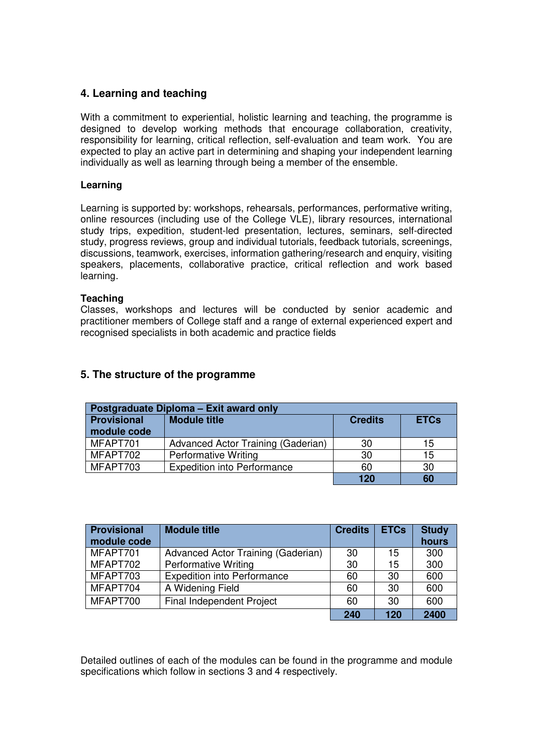# **4. Learning and teaching**

With a commitment to experiential, holistic learning and teaching, the programme is designed to develop working methods that encourage collaboration, creativity, responsibility for learning, critical reflection, self-evaluation and team work. You are expected to play an active part in determining and shaping your independent learning individually as well as learning through being a member of the ensemble.

#### **Learning**

Learning is supported by: workshops, rehearsals, performances, performative writing, online resources (including use of the College VLE), library resources, international study trips, expedition, student-led presentation, lectures, seminars, self-directed study, progress reviews, group and individual tutorials, feedback tutorials, screenings, discussions, teamwork, exercises, information gathering/research and enquiry, visiting speakers, placements, collaborative practice, critical reflection and work based learning.

#### **Teaching**

Classes, workshops and lectures will be conducted by senior academic and practitioner members of College staff and a range of external experienced expert and recognised specialists in both academic and practice fields

| Postgraduate Diploma - Exit award only |                                    |                |             |  |  |  |  |  |
|----------------------------------------|------------------------------------|----------------|-------------|--|--|--|--|--|
| <b>Provisional</b>                     | <b>Module title</b>                | <b>Credits</b> | <b>ETCs</b> |  |  |  |  |  |
| module code                            |                                    |                |             |  |  |  |  |  |
| MFAPT701                               | Advanced Actor Training (Gaderian) | 30             | 15          |  |  |  |  |  |
| MFAPT702                               | <b>Performative Writing</b>        | 30             | 15          |  |  |  |  |  |
| MFAPT703                               | <b>Expedition into Performance</b> | 60             | 30          |  |  |  |  |  |
|                                        |                                    | 120            | 60          |  |  |  |  |  |

# **5. The structure of the programme**

| <b>Provisional</b><br>module code | <b>Module title</b>                | <b>Credits</b> | <b>ETCs</b> | <b>Study</b><br>hours |
|-----------------------------------|------------------------------------|----------------|-------------|-----------------------|
| MFAPT701                          | Advanced Actor Training (Gaderian) | 30             | 15          | 300                   |
| MFAPT702                          | <b>Performative Writing</b>        | 30             | 15          | 300                   |
| MFAPT703                          | <b>Expedition into Performance</b> | 60             | 30          | 600                   |
| MFAPT704                          | A Widening Field                   | 60             | 30          | 600                   |
| MFAPT700                          | <b>Final Independent Project</b>   | 60             | 30          | 600                   |
|                                   |                                    | 240            | 120         | 2400                  |

Detailed outlines of each of the modules can be found in the programme and module specifications which follow in sections 3 and 4 respectively.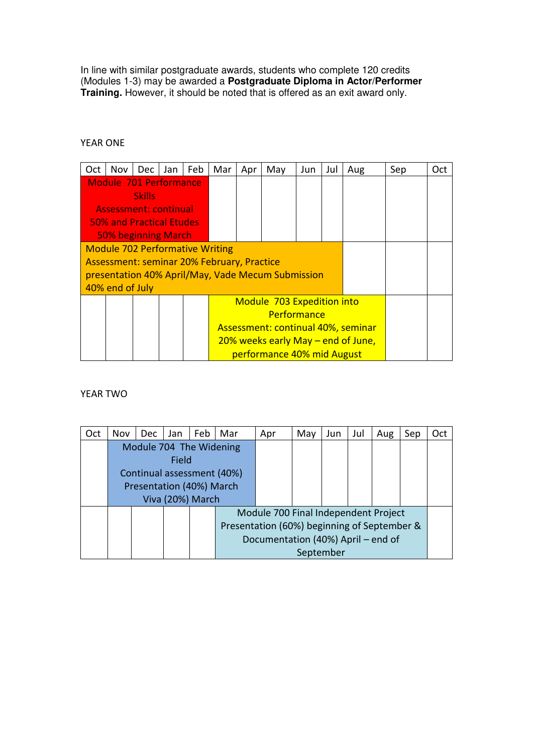In line with similar postgraduate awards, students who complete 120 credits (Modules 1-3) may be awarded a **Postgraduate Diploma in Actor/Performer Training.** However, it should be noted that is offered as an exit award only.

#### YEAR ONE

| Oct | Nov l                                             | Dec                                        | Jan | Feb | Mar | Apr                                | May                        | Jun | Jul | Aug | Sep | Oct |
|-----|---------------------------------------------------|--------------------------------------------|-----|-----|-----|------------------------------------|----------------------------|-----|-----|-----|-----|-----|
|     | <b>Module 701 Performance</b>                     |                                            |     |     |     |                                    |                            |     |     |     |     |     |
|     |                                                   | <b>Skills</b>                              |     |     |     |                                    |                            |     |     |     |     |     |
|     | <b>Assessment: continual</b>                      |                                            |     |     |     |                                    |                            |     |     |     |     |     |
|     | <b>50% and Practical Etudes</b>                   |                                            |     |     |     |                                    |                            |     |     |     |     |     |
|     | 50% beginning March                               |                                            |     |     |     |                                    |                            |     |     |     |     |     |
|     | <b>Module 702 Performative Writing</b>            |                                            |     |     |     |                                    |                            |     |     |     |     |     |
|     |                                                   | Assessment: seminar 20% February, Practice |     |     |     |                                    |                            |     |     |     |     |     |
|     | presentation 40% April/May, Vade Mecum Submission |                                            |     |     |     |                                    |                            |     |     |     |     |     |
|     | 40% end of July                                   |                                            |     |     |     |                                    |                            |     |     |     |     |     |
|     |                                                   |                                            |     |     |     | Module 703 Expedition into         |                            |     |     |     |     |     |
|     |                                                   |                                            |     |     |     |                                    |                            |     |     |     |     |     |
|     |                                                   |                                            |     |     |     | Assessment: continual 40%, seminar |                            |     |     |     |     |     |
|     |                                                   |                                            |     |     |     | 20% weeks early May – end of June, |                            |     |     |     |     |     |
|     |                                                   |                                            |     |     |     |                                    | performance 40% mid August |     |     |     |     |     |

# YEAR TWO

| Oct | Nov | Dec.                       | Jan              | Feb | Mar                                         | Apr                                  | May       | Jun | Jul | Aug | Sep | Oct |
|-----|-----|----------------------------|------------------|-----|---------------------------------------------|--------------------------------------|-----------|-----|-----|-----|-----|-----|
|     |     | Module 704 The Widening    |                  |     |                                             |                                      |           |     |     |     |     |     |
|     |     |                            | Field            |     |                                             |                                      |           |     |     |     |     |     |
|     |     | Continual assessment (40%) |                  |     |                                             |                                      |           |     |     |     |     |     |
|     |     | Presentation (40%) March   |                  |     |                                             |                                      |           |     |     |     |     |     |
|     |     |                            | Viva (20%) March |     |                                             |                                      |           |     |     |     |     |     |
|     |     |                            |                  |     |                                             | Module 700 Final Independent Project |           |     |     |     |     |     |
|     |     |                            |                  |     | Presentation (60%) beginning of September & |                                      |           |     |     |     |     |     |
|     |     |                            |                  |     |                                             | Documentation (40%) April – end of   |           |     |     |     |     |     |
|     |     |                            |                  |     |                                             |                                      | September |     |     |     |     |     |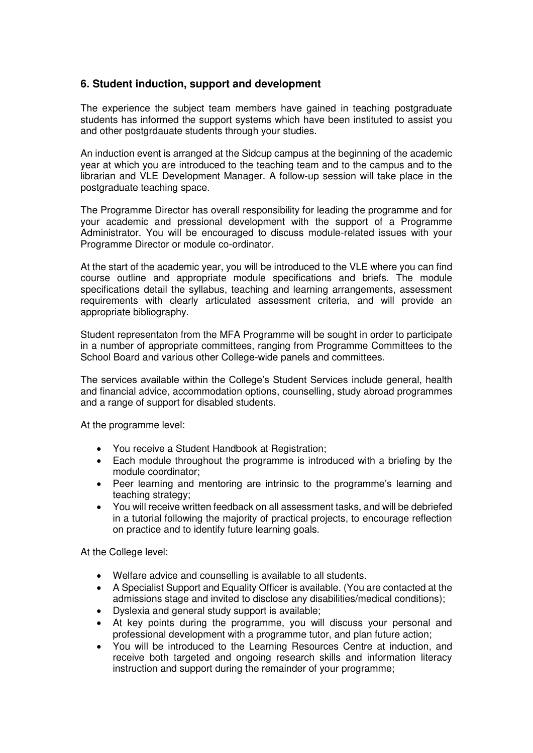# **6. Student induction, support and development**

The experience the subject team members have gained in teaching postgraduate students has informed the support systems which have been instituted to assist you and other postgrdauate students through your studies.

An induction event is arranged at the Sidcup campus at the beginning of the academic year at which you are introduced to the teaching team and to the campus and to the librarian and VLE Development Manager. A follow-up session will take place in the postgraduate teaching space.

The Programme Director has overall responsibility for leading the programme and for your academic and pressional development with the support of a Programme Administrator. You will be encouraged to discuss module-related issues with your Programme Director or module co-ordinator.

At the start of the academic year, you will be introduced to the VLE where you can find course outline and appropriate module specifications and briefs. The module specifications detail the syllabus, teaching and learning arrangements, assessment requirements with clearly articulated assessment criteria, and will provide an appropriate bibliography.

Student representaton from the MFA Programme will be sought in order to participate in a number of appropriate committees, ranging from Programme Committees to the School Board and various other College-wide panels and committees.

The services available within the College's Student Services include general, health and financial advice, accommodation options, counselling, study abroad programmes and a range of support for disabled students.

At the programme level:

- You receive a Student Handbook at Registration;
- Each module throughout the programme is introduced with a briefing by the module coordinator;
- Peer learning and mentoring are intrinsic to the programme's learning and teaching strategy;
- You will receive written feedback on all assessment tasks, and will be debriefed in a tutorial following the majority of practical projects, to encourage reflection on practice and to identify future learning goals.

At the College level:

- Welfare advice and counselling is available to all students.
- A Specialist Support and Equality Officer is available. (You are contacted at the admissions stage and invited to disclose any disabilities/medical conditions);
- Dyslexia and general study support is available;
- At key points during the programme, you will discuss your personal and professional development with a programme tutor, and plan future action;
- You will be introduced to the Learning Resources Centre at induction, and receive both targeted and ongoing research skills and information literacy instruction and support during the remainder of your programme;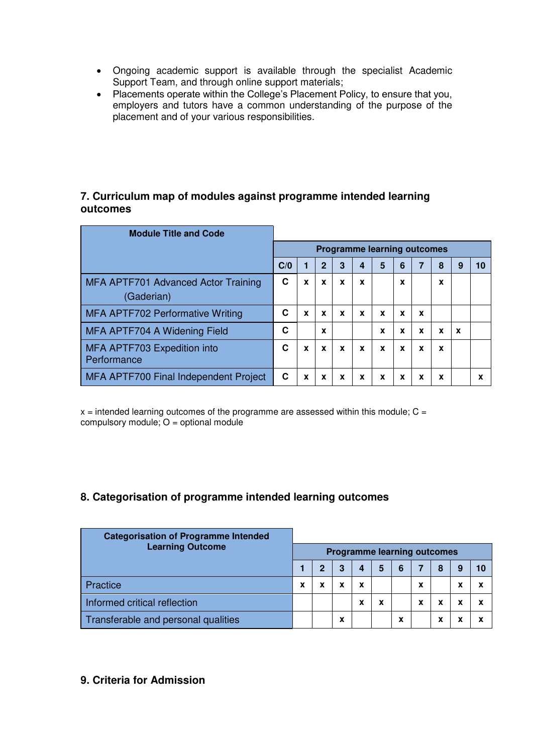- Ongoing academic support is available through the specialist Academic Support Team, and through online support materials;
- Placements operate within the College's Placement Policy, to ensure that you, employers and tutors have a common understanding of the purpose of the placement and of your various responsibilities.

# **7. Curriculum map of modules against programme intended learning outcomes**

| <b>Module Title and Code</b>               |     |   |              |             |   |                                    |   |   |   |             |   |
|--------------------------------------------|-----|---|--------------|-------------|---|------------------------------------|---|---|---|-------------|---|
|                                            |     |   |              |             |   | <b>Programme learning outcomes</b> |   |   |   |             |   |
|                                            | C/0 |   | $\mathbf{2}$ | 3           | 4 | 5                                  | 6 | 7 | 8 | g           |   |
| MFA APTF701 Advanced Actor Training        | С   | X | X            | X           | X |                                    | X |   | X |             |   |
| (Gaderian)                                 |     |   |              |             |   |                                    |   |   |   |             |   |
| MFA APTF702 Performative Writing           | С   | X | $\mathbf x$  | $\mathbf x$ | X | X                                  | X | X |   |             |   |
| MFA APTF704 A Widening Field               | C   |   | X            |             |   | X                                  | X | X | X | $\mathbf x$ |   |
| MFA APTF703 Expedition into<br>Performance | С   | X | X            | X           | X | X                                  | X | X | X |             |   |
| MFA APTF700 Final Independent Project      | C   | X | X            | x           | x | x                                  | X | X | X |             | x |

 $x =$  intended learning outcomes of the programme are assessed within this module;  $C =$ compulsory module;  $O =$  optional module

# **8. Categorisation of programme intended learning outcomes**

| <b>Categorisation of Programme Intended</b><br><b>Learning Outcome</b> |   |   |   |        |                                    |   |   |   |   |
|------------------------------------------------------------------------|---|---|---|--------|------------------------------------|---|---|---|---|
|                                                                        |   |   |   |        | <b>Programme learning outcomes</b> |   |   |   |   |
|                                                                        |   | 2 | 3 | 4      | 5                                  | 6 |   | 8 |   |
| <b>Practice</b>                                                        | x | x |   | x      |                                    |   | x |   |   |
| Informed critical reflection                                           |   |   |   | v<br>ж | X                                  |   | x | x | x |
| Transferable and personal qualities                                    |   |   | x |        |                                    | x |   | x | v |

# **9. Criteria for Admission**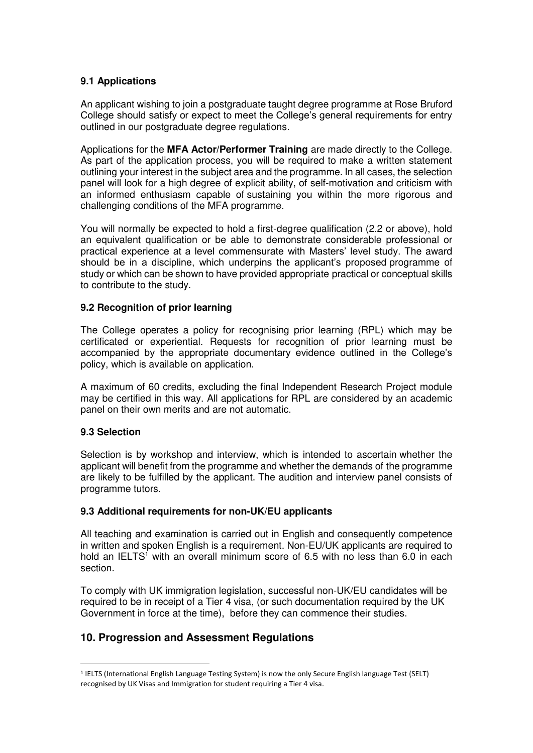### **9.1 Applications**

An applicant wishing to join a postgraduate taught degree programme at Rose Bruford College should satisfy or expect to meet the College's general requirements for entry outlined in our postgraduate degree regulations.

Applications for the **MFA Actor/Performer Training** are made directly to the College. As part of the application process, you will be required to make a written statement outlining your interest in the subject area and the programme. In all cases, the selection panel will look for a high degree of explicit ability, of self-motivation and criticism with an informed enthusiasm capable of sustaining you within the more rigorous and challenging conditions of the MFA programme.

You will normally be expected to hold a first-degree qualification (2.2 or above), hold an equivalent qualification or be able to demonstrate considerable professional or practical experience at a level commensurate with Masters' level study. The award should be in a discipline, which underpins the applicant's proposed programme of study or which can be shown to have provided appropriate practical or conceptual skills to contribute to the study.

#### **9.2 Recognition of prior learning**

The College operates a policy for recognising prior learning (RPL) which may be certificated or experiential. Requests for recognition of prior learning must be accompanied by the appropriate documentary evidence outlined in the College's policy, which is available on application.

A maximum of 60 credits, excluding the final Independent Research Project module may be certified in this way. All applications for RPL are considered by an academic panel on their own merits and are not automatic.

#### **9.3 Selection**

.

Selection is by workshop and interview, which is intended to ascertain whether the applicant will benefit from the programme and whether the demands of the programme are likely to be fulfilled by the applicant. The audition and interview panel consists of programme tutors.

#### **9.3 Additional requirements for non-UK/EU applicants**

All teaching and examination is carried out in English and consequently competence in written and spoken English is a requirement. Non-EU/UK applicants are required to hold an IELTS<sup>1</sup> with an overall minimum score of 6.5 with no less than 6.0 in each section.

To comply with UK immigration legislation, successful non-UK/EU candidates will be required to be in receipt of a Tier 4 visa, (or such documentation required by the UK Government in force at the time), before they can commence their studies.

# **10. Progression and Assessment Regulations**

<sup>1</sup> IELTS (International English Language Testing System) is now the only Secure English language Test (SELT) recognised by UK Visas and Immigration for student requiring a Tier 4 visa.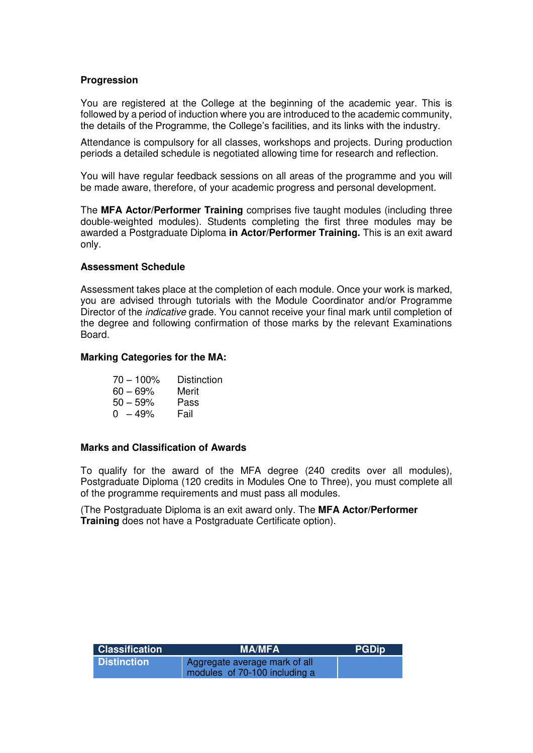#### **Progression**

You are registered at the College at the beginning of the academic year. This is followed by a period of induction where you are introduced to the academic community, the details of the Programme, the College's facilities, and its links with the industry.

Attendance is compulsory for all classes, workshops and projects. During production periods a detailed schedule is negotiated allowing time for research and reflection.

You will have regular feedback sessions on all areas of the programme and you will be made aware, therefore, of your academic progress and personal development.

The **MFA Actor/Performer Training** comprises five taught modules (including three double-weighted modules). Students completing the first three modules may be awarded a Postgraduate Diploma **in Actor/Performer Training.** This is an exit award only.

#### **Assessment Schedule**

Assessment takes place at the completion of each module. Once your work is marked, you are advised through tutorials with the Module Coordinator and/or Programme Director of the indicative grade. You cannot receive your final mark until completion of the degree and following confirmation of those marks by the relevant Examinations Board.

#### **Marking Categories for the MA:**

| $70 - 100\%$ | <b>Distinction</b> |
|--------------|--------------------|
| $60 - 69%$   | Merit              |
| $50 - 59%$   | Pass               |
| $0 - 49%$    | Fail               |

#### **Marks and Classification of Awards**

To qualify for the award of the MFA degree (240 credits over all modules), Postgraduate Diploma (120 credits in Modules One to Three), you must complete all of the programme requirements and must pass all modules.

(The Postgraduate Diploma is an exit award only. The **MFA Actor/Performer Training** does not have a Postgraduate Certificate option).

| <b>Classification</b> | <b>MA/MFA</b>                                                  | <b>PGDip</b> |
|-----------------------|----------------------------------------------------------------|--------------|
| <b>Distinction</b>    | Aggregate average mark of all<br>modules of 70-100 including a |              |